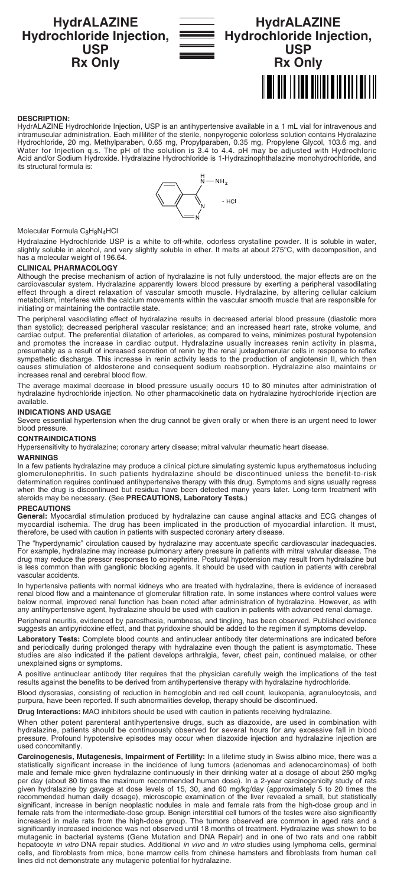# **HydrALAZINE Hydrochloride Injection, USP Rx Only**



# **HydrALAZINE Hydrochloride Injection, USP Rx Only** <u> A TILLIAN ANITA TILLIAN IN</u>

### **DESCRIPTION:**

HydrALAZINE Hydrochloride Injection, USP is an antihypertensive available in a 1 mL vial for intravenous and intramuscular administration. Each milliliter of the sterile, nonpyrogenic colorless solution contains Hydralazine Hydrochloride, 20 mg, Methylparaben, 0.65 mg, Propylparaben, 0.35 mg, Propylene Glycol, 103.6 mg, and Water for Injection q.s. The pH of the solution is 3.4 to 4.4. pH may be adjusted with Hydrochloric Acid and/or Sodium Hydroxide. Hydralazine Hydrochloride is 1-Hydrazinophthalazine monohydrochloride, and its structural formula is:



### Molecular Formula C<sub>8</sub>H<sub>8</sub>N<sub>4</sub>HCl

Hydralazine Hydrochloride USP is a white to off-white, odorless crystalline powder. It is soluble in water,<br>slightly soluble in alcohol, and very slightly soluble in ether. It melts at about 275°C, with decomposition, and<br>

#### **CLINICAL PHARMACOLOGY**

Although the precise mechanism of action of hydralazine is not fully understood, the major effects are on the<br>cardiovascular system. Hydralazine apparently lowers blood pressure by exerting a peripheral vasodilating<br>effect metabolism, interferes with the calcium movements within the vascular smooth muscle that are responsible for initiating or maintaining the contractile state.

The peripheral vasodilating effect of hydralazine results in decreased arterial blood pressure (diastolic more than systolic); decreased peripheral vascular resistance; and an increased heart rate, stroke volume, and cardiac output. The preferential dilatation of arterioles, as compared to veins, minimizes postural hypotension and promotes the increase in cardiac output. Hydralazine usually increases renin activity in plasma, presumably as a result of increased secretion of renin by the renal juxtaglomerular cells in response to reflex sympathetic discharge. This increase in renin activity leads to the production of angiotensin II, which then causes stimulation of aldosterone and consequent sodium reabsorption. Hydralazine also maintains or increases renal and cerebral blood flow.

The average maximal decrease in blood pressure usually occurs 10 to 80 minutes after administration of hydralazine hydrochloride injection. No other pharmacokinetic data on hydralazine hydrochloride injection are available.

### **INDICATIONS AND USAGE**

Severe essential hypertension when the drug cannot be given orally or when there is an urgent need to lower blood pressure.

#### **CONTRAINDICATIONS**

Hypersensitivity to hydralazine; coronary artery disease; mitral valvular rheumatic heart disease.

#### **WARNINGS**

In a few patients hydralazine may produce a clinical picture simulating systemic lupus erythematosus including glomerulonephritis. In such patients hydralazine should be discontinued unless the benefit-to-risk<br>determination requires continued antihypertensive therapy with this drug. Symptoms and signs usually regress<br>when the drug steroids may be necessary. (See **PRECAUTIONS, Laboratory Tests.**)

### **PRECAUTIONS**

**General:** Myocardial stimulation produced by hydralazine can cause anginal attacks and ECG changes of myocardial ischemia. The drug has been implicated in the production of myocardial infarction. It must, therefore, be used with caution in patients with suspected coronary artery disease.

The "hyperdynamic" circulation caused by hydralazine may accentuate specific cardiovascular inadequacies. For example, hydralazine may increase pulmonary artery pressure in patients with mitral valvular disease. The drug may reduce the pressor responses to epinephrine. Postural hypotension may result from hydralazine but is less common than with ganglionic blocking agents. It should be used with caution in patients with cerebral vascular accidents.

In hypertensive patients with normal kidneys who are treated with hydralazine, there is evidence of increased<br>renal blood flow and a maintenance of glomerular filtration rate. In some instances where control values were<br>be any antihypertensive agent, hydralazine should be used with caution in patients with advanced renal damage.

Peripheral neuritis, evidenced by paresthesia, numbness, and tingling, has been observed. Published evidence suggests an antipyridoxine effect, and that pyridoxine should be added to the regimen if symptoms develop.

**Laboratory Tests:** Complete blood counts and antinuclear antibody titer determinations are indicated before<br>and periodically during prolonged therapy with hydralazine even though the patient is asymptomatic. These studies are also indicated if the patient develops arthralgia, fever, chest pain, continued malaise, or other unexplained signs or symptoms.

A positive antinuclear antibody titer requires that the physician carefully weigh the implications of the test results against the benefits to be derived from antihypertensive therapy with hydralazine hydrochloride.

Blood dyscrasias, consisting of reduction in hemoglobin and red cell count, leukopenia, agranulocytosis, and purpura, have been reported. If such abnormalities develop, therapy should be discontinued.

**Drug Interactions:** MAO inhibitors should be used with caution in patients receiving hydralazine.

When other potent parenteral antihypertensive drugs, such as diazoxide, are used in combination with hydralazine, patients should be continuously observed for several hours for any excessive fall in blood pressure. Profound hypotensive episodes may occur when diazoxide injection and hydralazine injection are used concomitantly.

Carcinogenesis, Mutagenesis, Impairment of Fertility: In a lifetime study in Swiss albino mice, there was a<br>statistically significant increase in the incidence of lung tumors (adenomas and adenocarcinomas) of both male and female mice given hydralazine continuously in their drinking water at a dosage of about 250 mg/kg per day (about 80 times the maximum recommended human dose). In a 2-year carcinogenicity study of rats<br>given hydralazine by gavage at dose levels of 15, 30, and 60 mg/kg/day (approximately 5 to 20 times the<br>recommended hum significant, increase in benign neoplastic nodules in male and female rats from the high-dose group and in<br>female rats from the intermediate-dose group. Benign interstitial cell tumors of the testes were also significantly significantly increased incidence was not observed until 18 months of treatment. Hydralazine was shown to be mutagenic in bacterial systems (Gene Mutation and DNA Repair) and in one of two rats and one rabbit hepatocyte *in vitro* DNA repair studies. Additional *in vivo* and *in vitro* studies using lymphoma cells, germinal<br>cells, and fibroblasts from mice, bone marrow cells from chinese hamsters and fibroblasts from human cell